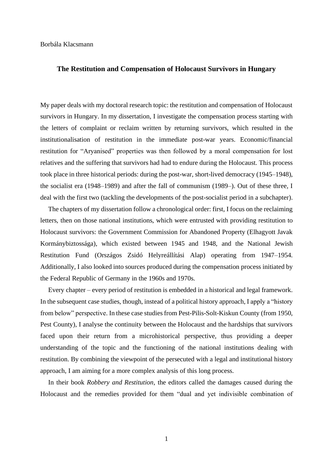#### **The Restitution and Compensation of Holocaust Survivors in Hungary**

My paper deals with my doctoral research topic: the restitution and compensation of Holocaust survivors in Hungary. In my dissertation, I investigate the compensation process starting with the letters of complaint or reclaim written by returning survivors, which resulted in the institutionalisation of restitution in the immediate post-war years. Economic/financial restitution for "Aryanised" properties was then followed by a moral compensation for lost relatives and the suffering that survivors had had to endure during the Holocaust. This process took place in three historical periods: during the post-war, short-lived democracy (1945–1948), the socialist era (1948–1989) and after the fall of communism (1989–). Out of these three, I deal with the first two (tackling the developments of the post-socialist period in a subchapter).

The chapters of my dissertation follow a chronological order: first, I focus on the reclaiming letters, then on those national institutions, which were entrusted with providing restitution to Holocaust survivors: the Government Commission for Abandoned Property (Elhagyott Javak Kormánybiztossága), which existed between 1945 and 1948, and the National Jewish Restitution Fund (Országos Zsidó Helyreállítási Alap) operating from 1947–1954. Additionally, I also looked into sources produced during the compensation process initiated by the Federal Republic of Germany in the 1960s and 1970s.

Every chapter – every period of restitution is embedded in a historical and legal framework. In the subsequent case studies, though, instead of a political history approach, I apply a "history from below" perspective. In these case studies from Pest-Pilis-Solt-Kiskun County (from 1950, Pest County), I analyse the continuity between the Holocaust and the hardships that survivors faced upon their return from a microhistorical perspective, thus providing a deeper understanding of the topic and the functioning of the national institutions dealing with restitution. By combining the viewpoint of the persecuted with a legal and institutional history approach, I am aiming for a more complex analysis of this long process.

In their book *Robbery and Restitution*, the editors called the damages caused during the Holocaust and the remedies provided for them "dual and yet indivisible combination of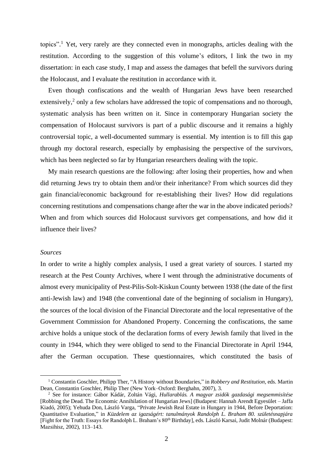topics". <sup>1</sup> Yet, very rarely are they connected even in monographs, articles dealing with the restitution. According to the suggestion of this volume's editors, I link the two in my dissertation: in each case study, I map and assess the damages that befell the survivors during the Holocaust, and I evaluate the restitution in accordance with it.

Even though confiscations and the wealth of Hungarian Jews have been researched extensively,<sup>2</sup> only a few scholars have addressed the topic of compensations and no thorough, systematic analysis has been written on it. Since in contemporary Hungarian society the compensation of Holocaust survivors is part of a public discourse and it remains a highly controversial topic, a well-documented summary is essential. My intention is to fill this gap through my doctoral research, especially by emphasising the perspective of the survivors, which has been neglected so far by Hungarian researchers dealing with the topic.

My main research questions are the following: after losing their properties, how and when did returning Jews try to obtain them and/or their inheritance? From which sources did they gain financial/economic background for re-establishing their lives? How did regulations concerning restitutions and compensations change after the war in the above indicated periods? When and from which sources did Holocaust survivors get compensations, and how did it influence their lives?

#### *Sources*

In order to write a highly complex analysis, I used a great variety of sources. I started my research at the Pest County Archives, where I went through the administrative documents of almost every municipality of Pest-Pilis-Solt-Kiskun County between 1938 (the date of the first anti-Jewish law) and 1948 (the conventional date of the beginning of socialism in Hungary), the sources of the local division of the Financial Directorate and the local representative of the Government Commission for Abandoned Property. Concerning the confiscations, the same archive holds a unique stock of the declaration forms of every Jewish family that lived in the county in 1944, which they were obliged to send to the Financial Directorate in April 1944, after the German occupation. These questionnaires, which constituted the basis of

<sup>1</sup> Constantin Goschler, Philipp Ther, "A History without Boundaries," in *Robbery and Restitution,* eds. Martin Dean, Constantin Goschler, Philip Ther (New York–Oxford: Berghahn, 2007), 3.

<sup>2</sup> See for instance: Gábor Kádár, Zoltán Vági, *Hullarablás. A magyar zsidók gazdasági megsemmisítése* [Robbing the Dead. The Economic Annihilation of Hungarian Jews] (Budapest: Hannah Arendt Egyesület – Jaffa Kiadó, 2005); Yehuda Don, László Varga, "Private Jewish Real Estate in Hungary in 1944, Before Deportation: Quantitative Evaluation," in *Küzdelem az igazságért: tanulmányok Randolph L. Braham 80. születésnapjára* [Fight for the Truth: Essays for Randolph L. Braham's 80<sup>th</sup> Birthday], eds. László Karsai, Judit Molnár (Budapest: Mazsihisz, 2002), 113–143.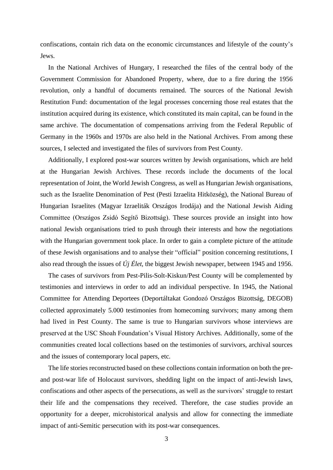confiscations, contain rich data on the economic circumstances and lifestyle of the county's Jews.

In the National Archives of Hungary, I researched the files of the central body of the Government Commission for Abandoned Property, where, due to a fire during the 1956 revolution, only a handful of documents remained. The sources of the National Jewish Restitution Fund: documentation of the legal processes concerning those real estates that the institution acquired during its existence, which constituted its main capital, can be found in the same archive. The documentation of compensations arriving from the Federal Republic of Germany in the 1960s and 1970s are also held in the National Archives. From among these sources, I selected and investigated the files of survivors from Pest County.

Additionally, I explored post-war sources written by Jewish organisations, which are held at the Hungarian Jewish Archives. These records include the documents of the local representation of Joint, the World Jewish Congress, as well as Hungarian Jewish organisations, such as the Israelite Denomination of Pest (Pesti Izraelita Hitközség), the National Bureau of Hungarian Israelites (Magyar Izraeliták Országos Irodája) and the National Jewish Aiding Committee (Országos Zsidó Segítő Bizottság). These sources provide an insight into how national Jewish organisations tried to push through their interests and how the negotiations with the Hungarian government took place. In order to gain a complete picture of the attitude of these Jewish organisations and to analyse their "official" position concerning restitutions, I also read through the issues of *Új Élet*, the biggest Jewish newspaper, between 1945 and 1956.

The cases of survivors from Pest-Pilis-Solt-Kiskun/Pest County will be complemented by testimonies and interviews in order to add an individual perspective. In 1945, the National Committee for Attending Deportees (Deportáltakat Gondozó Országos Bizottság, DEGOB) collected approximately 5.000 testimonies from homecoming survivors; many among them had lived in Pest County. The same is true to Hungarian survivors whose interviews are preserved at the USC Shoah Foundation's Visual History Archives. Additionally, some of the communities created local collections based on the testimonies of survivors, archival sources and the issues of contemporary local papers, etc.

The life stories reconstructed based on these collections contain information on both the preand post-war life of Holocaust survivors, shedding light on the impact of anti-Jewish laws, confiscations and other aspects of the persecutions, as well as the survivors' struggle to restart their life and the compensations they received. Therefore, the case studies provide an opportunity for a deeper, microhistorical analysis and allow for connecting the immediate impact of anti-Semitic persecution with its post-war consequences.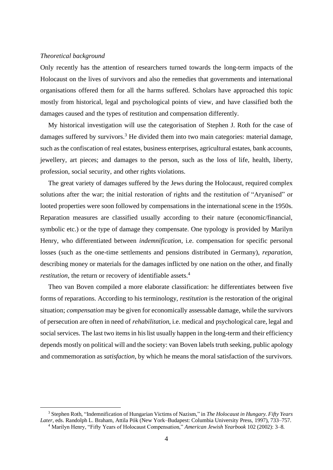## *Theoretical background*

Only recently has the attention of researchers turned towards the long-term impacts of the Holocaust on the lives of survivors and also the remedies that governments and international organisations offered them for all the harms suffered. Scholars have approached this topic mostly from historical, legal and psychological points of view, and have classified both the damages caused and the types of restitution and compensation differently.

My historical investigation will use the categorisation of Stephen J. Roth for the case of damages suffered by survivors.<sup>3</sup> He divided them into two main categories: material damage, such as the confiscation of real estates, business enterprises, agricultural estates, bank accounts, jewellery, art pieces; and damages to the person, such as the loss of life, health, liberty, profession, social security, and other rights violations.

The great variety of damages suffered by the Jews during the Holocaust, required complex solutions after the war; the initial restoration of rights and the restitution of "Aryanised" or looted properties were soon followed by compensations in the international scene in the 1950s. Reparation measures are classified usually according to their nature (economic/financial, symbolic etc.) or the type of damage they compensate. One typology is provided by Marilyn Henry, who differentiated between *indemnification*, i.e. compensation for specific personal losses (such as the one-time settlements and pensions distributed in Germany), *reparation*, describing money or materials for the damages inflicted by one nation on the other, and finally *restitution*, the return or recovery of identifiable assets.<sup>4</sup>

Theo van Boven compiled a more elaborate classification: he differentiates between five forms of reparations. According to his terminology, *restitution* is the restoration of the original situation; *compensation* may be given for economically assessable damage, while the survivors of persecution are often in need of *rehabilitation*, i.e. medical and psychological care, legal and social services. The last two items in his list usually happen in the long-term and their efficiency depends mostly on political will and the society: van Boven labels truth seeking, public apology and commemoration as *satisfaction*, by which he means the moral satisfaction of the survivors.

<sup>3</sup> Stephen Roth, "Indemnification of Hungarian Victims of Nazism," in *The Holocaust in Hungary. Fifty Years Later,* eds. Randolph L. Braham, Attila Pók (New York–Budapest: Columbia University Press, 1997), 733–757. <sup>4</sup> Marilyn Henry, "Fifty Years of Holocaust Compensation," *American Jewish Yearbook* 102 (2002): 3–8.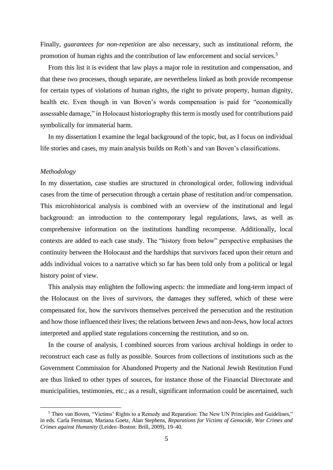Finally, *guarantees for non-repetition* are also necessary, such as institutional reform, the promotion of human rights and the contribution of law enforcement and social services.<sup>5</sup>

From this list it is evident that law plays a major role in restitution and compensation, and that these two processes, though separate, are nevertheless linked as both provide recompense for certain types of violations of human rights, the right to private property, human dignity, health etc. Even though in van Boven's words compensation is paid for "economically assessable damage," in Holocaust historiography this term is mostly used for contributions paid symbolically for immaterial harm.

In my dissertation I examine the legal background of the topic, but, as I focus on individual life stories and cases, my main analysis builds on Roth's and van Boven's classifications.

# *Methodology*

In my dissertation, case studies are structured in chronological order, following individual cases from the time of persecution through a certain phase of restitution and/or compensation. This microhistorical analysis is combined with an overview of the institutional and legal background: an introduction to the contemporary legal regulations, laws, as well as comprehensive information on the institutions handling recompense. Additionally, local contexts are added to each case study. The "history from below" perspective emphasises the continuity between the Holocaust and the hardships that survivors faced upon their return and adds individual voices to a narrative which so far has been told only from a political or legal history point of view.

This analysis may enlighten the following aspects: the immediate and long-term impact of the Holocaust on the lives of survivors, the damages they suffered, which of these were compensated for, how the survivors themselves perceived the persecution and the restitution and how those influenced their lives; the relations between Jews and non-Jews, how local actors interpreted and applied state regulations concerning the restitution, and so on.

In the course of analysis, I combined sources from various archival holdings in order to reconstruct each case as fully as possible. Sources from collections of institutions such as the Government Commission for Abandoned Property and the National Jewish Restitution Fund are thus linked to other types of sources, for instance those of the Financial Directorate and municipalities, testimonies, etc.; as a result, significant information could be ascertained, such

<sup>5</sup> Theo van Boven, "Victims' Rights to a Remedy and Reparation: The New UN Principles and Guidelines," in eds. Carla Ferstman, Mariana Goetz, Alan Stephens, *Reparations for Victims of Genocide, War Crimes and Crimes against Humanity* (Leiden–Boston: Brill, 2009), 19–40.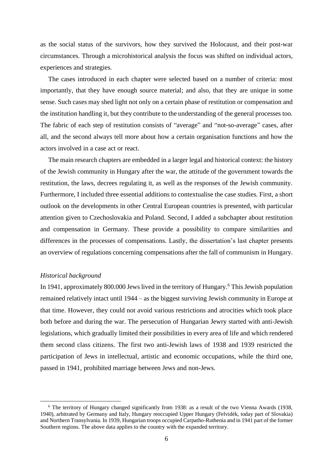as the social status of the survivors, how they survived the Holocaust, and their post-war circumstances. Through a microhistorical analysis the focus was shifted on individual actors, experiences and strategies.

The cases introduced in each chapter were selected based on a number of criteria: most importantly, that they have enough source material; and also, that they are unique in some sense. Such cases may shed light not only on a certain phase of restitution or compensation and the institution handling it, but they contribute to the understanding of the general processes too. The fabric of each step of restitution consists of "average" and "not-so-average" cases, after all, and the second always tell more about how a certain organisation functions and how the actors involved in a case act or react.

The main research chapters are embedded in a larger legal and historical context: the history of the Jewish community in Hungary after the war, the attitude of the government towards the restitution, the laws, decrees regulating it, as well as the responses of the Jewish community. Furthermore, I included three essential additions to contextualise the case studies. First, a short outlook on the developments in other Central European countries is presented, with particular attention given to Czechoslovakia and Poland. Second, I added a subchapter about restitution and compensation in Germany. These provide a possibility to compare similarities and differences in the processes of compensations. Lastly, the dissertation's last chapter presents an overview of regulations concerning compensations after the fall of communism in Hungary.

## *Historical background*

In 1941, approximately 800,000 Jews lived in the territory of Hungary.<sup>6</sup> This Jewish population remained relatively intact until 1944 – as the biggest surviving Jewish community in Europe at that time. However, they could not avoid various restrictions and atrocities which took place both before and during the war. The persecution of Hungarian Jewry started with anti-Jewish legislations, which gradually limited their possibilities in every area of life and which rendered them second class citizens. The first two anti-Jewish laws of 1938 and 1939 restricted the participation of Jews in intellectual, artistic and economic occupations, while the third one, passed in 1941, prohibited marriage between Jews and non-Jews.

<sup>6</sup> The territory of Hungary changed significantly from 1938: as a result of the two Vienna Awards (1938, 1940), arbitrated by Germany and Italy, Hungary reoccupied Upper Hungary (Felvidék, today part of Slovakia) and Northern Transylvania. In 1939, Hungarian troops occupied Carpatho-Ruthenia and in 1941 part of the former Southern regions. The above data applies to the country with the expanded territory.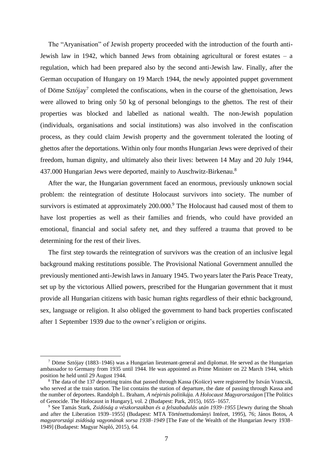The "Aryanisation" of Jewish property proceeded with the introduction of the fourth anti-Jewish law in 1942, which banned Jews from obtaining agricultural or forest estates – a regulation, which had been prepared also by the second anti-Jewish law. Finally, after the German occupation of Hungary on 19 March 1944, the newly appointed puppet government of Döme Sztójay<sup>7</sup> completed the confiscations, when in the course of the ghettoisation, Jews were allowed to bring only 50 kg of personal belongings to the ghettos. The rest of their properties was blocked and labelled as national wealth. The non-Jewish population (individuals, organisations and social institutions) was also involved in the confiscation process, as they could claim Jewish property and the government tolerated the looting of ghettos after the deportations. Within only four months Hungarian Jews were deprived of their freedom, human dignity, and ultimately also their lives: between 14 May and 20 July 1944, 437.000 Hungarian Jews were deported, mainly to Auschwitz-Birkenau.<sup>8</sup>

After the war, the Hungarian government faced an enormous, previously unknown social problem: the reintegration of destitute Holocaust survivors into society. The number of survivors is estimated at approximately 200.000.<sup>9</sup> The Holocaust had caused most of them to have lost properties as well as their families and friends, who could have provided an emotional, financial and social safety net, and they suffered a trauma that proved to be determining for the rest of their lives.

The first step towards the reintegration of survivors was the creation of an inclusive legal background making restitutions possible. The Provisional National Government annulled the previously mentioned anti-Jewish laws in January 1945. Two years later the Paris Peace Treaty, set up by the victorious Allied powers, prescribed for the Hungarian government that it must provide all Hungarian citizens with basic human rights regardless of their ethnic background, sex, language or religion. It also obliged the government to hand back properties confiscated after 1 September 1939 due to the owner's religion or origins.

 $7$  Döme Sztójay (1883–1946) was a Hungarian lieutenant-general and diplomat. He served as the Hungarian ambassador to Germany from 1935 until 1944. He was appointed as Prime Minister on 22 March 1944, which position he held until 29 August 1944.

<sup>&</sup>lt;sup>8</sup> The data of the 137 deporting trains that passed through Kassa (Košice) were registered by István Vrancsik, who served at the train station. The list contains the station of departure, the date of passing through Kassa and the number of deportees. Randolph L. Braham, *A népirtás politikája. A Holocaust Magyarországon* [The Politics of Genocide. The Holocaust in Hungary], vol. 2 (Budapest: Park, 2015), 1655–1657.

<sup>9</sup> See Tamás Stark, *Zsidóság a vészkorszakban és a felszabadulás után 1939–1955* [Jewry during the Shoah and after the Liberation 1939–1955] (Budapest: MTA Történettudományi Intézet, 1995), 76; János Botos, *A magyarországi zsidóság vagyonának sorsa 1938*–*1949* [The Fate of the Wealth of the Hungarian Jewry 1938– 1949] (Budapest: Magyar Napló, 2015)*,* 64.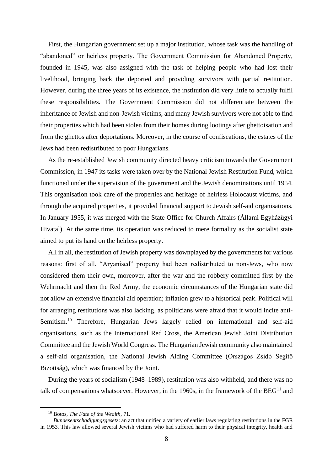First, the Hungarian government set up a major institution, whose task was the handling of "abandoned" or heirless property. The Government Commission for Abandoned Property, founded in 1945, was also assigned with the task of helping people who had lost their livelihood, bringing back the deported and providing survivors with partial restitution. However, during the three years of its existence, the institution did very little to actually fulfil these responsibilities. The Government Commission did not differentiate between the inheritance of Jewish and non-Jewish victims, and many Jewish survivors were not able to find their properties which had been stolen from their homes during lootings after ghettoisation and from the ghettos after deportations. Moreover, in the course of confiscations, the estates of the Jews had been redistributed to poor Hungarians.

As the re-established Jewish community directed heavy criticism towards the Government Commission, in 1947 its tasks were taken over by the National Jewish Restitution Fund, which functioned under the supervision of the government and the Jewish denominations until 1954. This organisation took care of the properties and heritage of heirless Holocaust victims, and through the acquired properties, it provided financial support to Jewish self-aid organisations. In January 1955, it was merged with the State Office for Church Affairs (Állami Egyházügyi Hivatal). At the same time, its operation was reduced to mere formality as the socialist state aimed to put its hand on the heirless property.

All in all, the restitution of Jewish property was downplayed by the governments for various reasons: first of all, "Aryanised" property had been redistributed to non-Jews, who now considered them their own, moreover, after the war and the robbery committed first by the Wehrmacht and then the Red Army, the economic circumstances of the Hungarian state did not allow an extensive financial aid operation; inflation grew to a historical peak. Political will for arranging restitutions was also lacking, as politicians were afraid that it would incite anti-Semitism.<sup>10</sup> Therefore, Hungarian Jews largely relied on international and self-aid organisations, such as the International Red Cross, the American Jewish Joint Distribution Committee and the Jewish World Congress. The Hungarian Jewish community also maintained a self-aid organisation, the National Jewish Aiding Committee (Országos Zsidó Segítő Bizottság), which was financed by the Joint.

During the years of socialism (1948–1989), restitution was also withheld, and there was no talk of compensations whatsoever. However, in the 1960s, in the framework of the  $BEG<sup>11</sup>$  and

<sup>10</sup> Botos, *The Fate of the Wealth*, 71.

<sup>&</sup>lt;sup>11</sup> *Bundesentschadigungsgesetz*: an act that unified a variety of earlier laws regulating restitutions in the FGR in 1953. This law allowed several Jewish victims who had suffered harm to their physical integrity, health and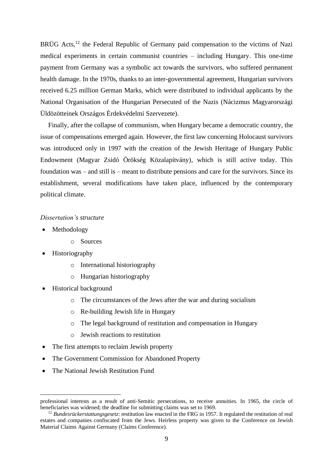BRÜG Acts,<sup>12</sup> the Federal Republic of Germany paid compensation to the victims of Nazi medical experiments in certain communist countries – including Hungary. This one-time payment from Germany was a symbolic act towards the survivors, who suffered permanent health damage. In the 1970s, thanks to an inter-governmental agreement, Hungarian survivors received 6.25 million German Marks, which were distributed to individual applicants by the National Organisation of the Hungarian Persecuted of the Nazis (Nácizmus Magyarországi Üldözötteinek Országos Érdekvédelmi Szervezete).

Finally, after the collapse of communism, when Hungary became a democratic country, the issue of compensations emerged again. However, the first law concerning Holocaust survivors was introduced only in 1997 with the creation of the Jewish Heritage of Hungary Public Endowment (Magyar Zsidó Örökség Közalapítvány), which is still active today. This foundation was – and still is – meant to distribute pensions and care for the survivors. Since its establishment, several modifications have taken place, influenced by the contemporary political climate.

## *Dissertation's structure*

- Methodology
	- o Sources
- Historiography
	- o International historiography
	- o Hungarian historiography
- Historical background
	- o The circumstances of the Jews after the war and during socialism
	- o Re-building Jewish life in Hungary
	- o The legal background of restitution and compensation in Hungary
	- o Jewish reactions to restitution
- The first attempts to reclaim Jewish property
- The Government Commission for Abandoned Property
- The National Jewish Restitution Fund

professional interests as a result of anti-Semitic persecutions, to receive annuities. In 1965, the circle of beneficiaries was widened; the deadline for submitting claims was set to 1969.

<sup>&</sup>lt;sup>12</sup> *Bundesrückerstattungsgesetz*: restitution law enacted in the FRG in 1957. It regulated the restitution of real estates and companies confiscated from the Jews. Heirless property was given to the Conference on Jewish Material Claims Against Germany (Claims Conference).